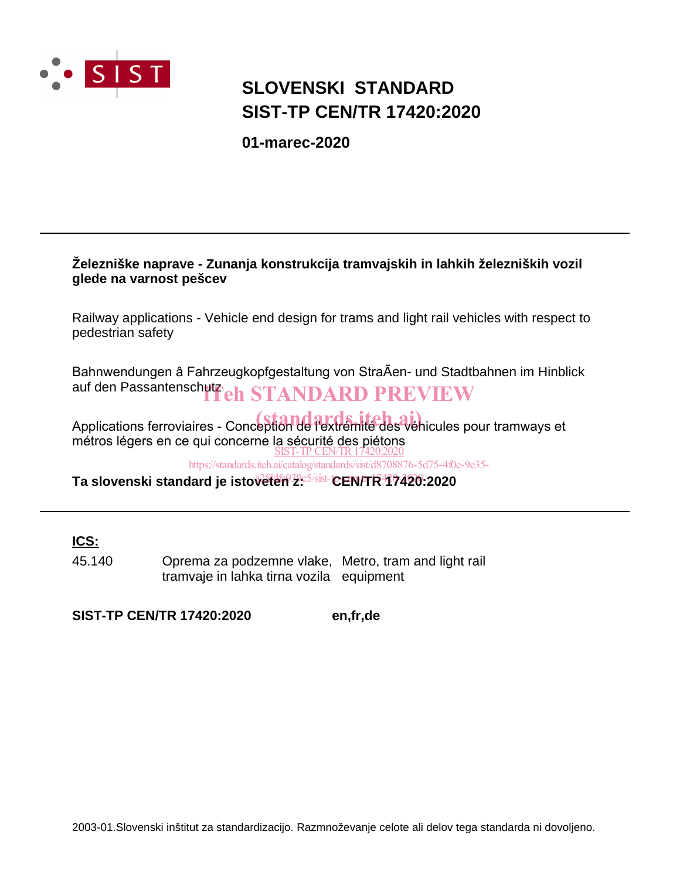

## **SLOVENSKI STANDARD SIST-TP CEN/TR 17420:2020**

**01-marec-2020**

#### **Železniške naprave - Zunanja konstrukcija tramvajskih in lahkih železniških vozil glede na varnost pešcev**

Railway applications - Vehicle end design for trams and light rail vehicles with respect to pedestrian safety

Bahnwendungen â Fahrzeugkopfgestaltung von StraÃen- und Stadtbahnen im Hinblick auf den Passantenschutzeh STANDARD PREVIEW

Applications ferroviaires - Conception de l'extrémité des véhicules pour tramways et métros légers en ce qui concerne la sécurité des piétons SIST-TP CEN/TR17420:2020

https://standards.iteh.ai/catalog/standards/sist/d8708876-5d75-4f0e-9e35-

**Ta slovenski standard je istoveten z: CEN/TR 17420:2020** a2fddfa939c5/sist-tp-cen-tr-17420-2020

**ICS:**

45.140 Oprema za podzemne vlake, Metro, tram and light rail tramvaje in lahka tirna vozila equipment

**SIST-TP CEN/TR 17420:2020 en,fr,de**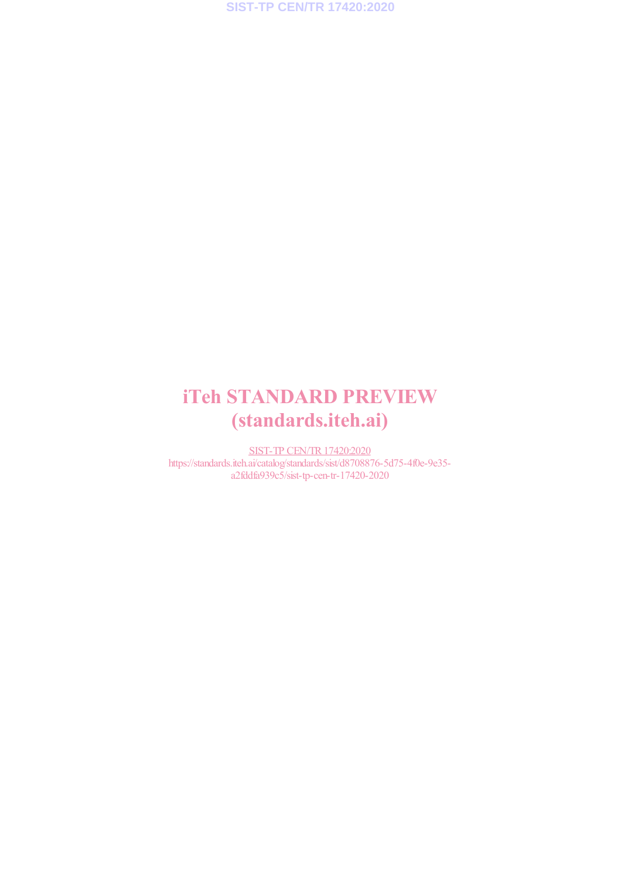## iTeh STANDARD PREVIEW (standards.iteh.ai)

SIST-TP CEN/TR17420:2020 https://standards.iteh.ai/catalog/standards/sist/d8708876-5d75-4f0e-9e35 a2fddfa939c5/sist-tp-cen-tr-17420-2020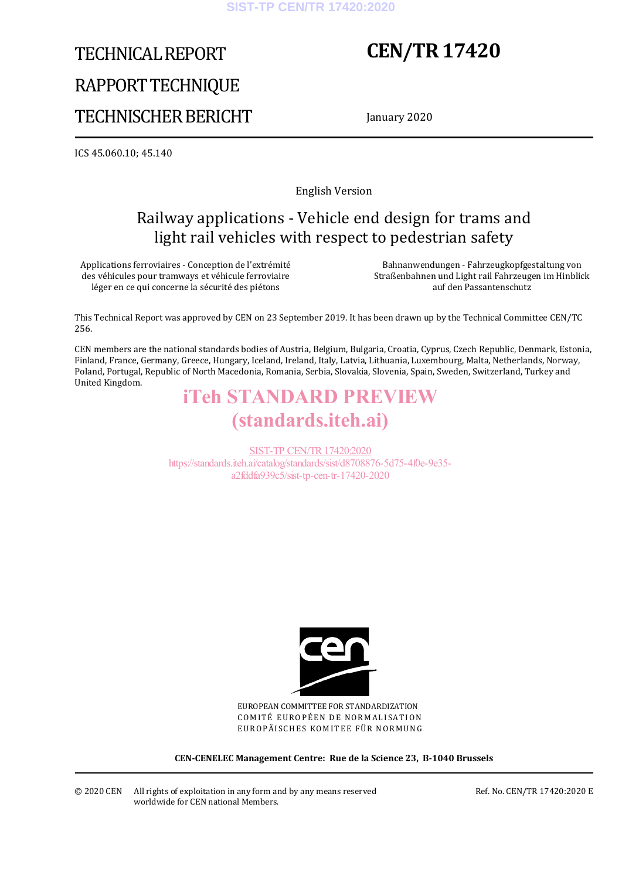# TECHNICAL REPORT RAPPORT TECHNIQUE TECHNISCHER BERICHT

## **CEN/TR 17420**

January 2020

ICS 45.060.10; 45.140

English Version

### Railway applications - Vehicle end design for trams and light rail vehicles with respect to pedestrian safety

Applications ferroviaires - Conception de l'extrémité des véhicules pour tramways et véhicule ferroviaire léger en ce qui concerne la sécurité des piétons

 Bahnanwendungen - Fahrzeugkopfgestaltung von Straßenbahnen und Light rail Fahrzeugen im Hinblick auf den Passantenschutz

This Technical Report was approved by CEN on 23 September 2019. It has been drawn up by the Technical Committee CEN/TC 256.

CEN members are the national standards bodies of Austria, Belgium, Bulgaria, Croatia, Cyprus, Czech Republic, Denmark, Estonia, Finland, France, Germany, Greece, Hungary, Iceland, Ireland, Italy, Latvia, Lithuania, Luxembourg, Malta, Netherlands, Norway, Poland, Portugal, Republic of North Macedonia, Romania, Serbia, Slovakia, Slovenia, Spain, Sweden, Switzerland, Turkey and United Kingdom.

## iTeh STANDARD PREVIEW (standards.iteh.ai)

SIST-TP CEN/TR17420:2020 https://standards.iteh.ai/catalog/standards/sist/d8708876-5d75-4f0e-9e35 a2fddfa939c5/sist-tp-cen-tr-17420-2020



EUROPEAN COMMITTEE FOR STANDARDIZATION COMITÉ EUROPÉEN DE NORMALISATION EUROPÄISCHES KOMITEE FÜR NORMUNG

**CEN-CENELEC Management Centre: Rue de la Science 23, B-1040 Brussels** 

© 2020 CEN All rights of exploitation in any form and by any means reserved worldwide for CEN national Members.

Ref. No. CEN/TR 17420:2020 E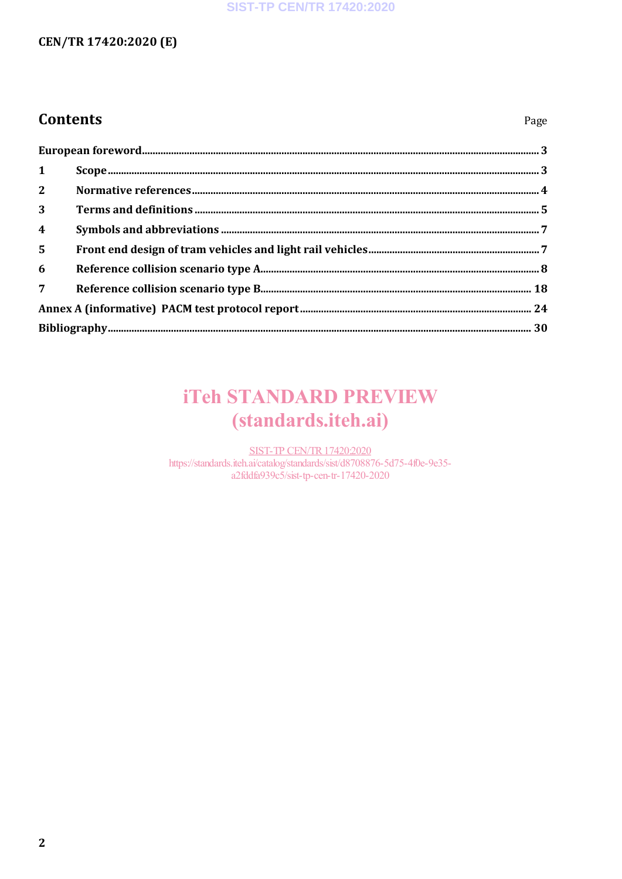#### **SIST-TP CEN/TR 17420:2020**

### CEN/TR 17420:2020 (E)

### **Contents**

| $\mathbf{1}$            |  |  |
|-------------------------|--|--|
| $2^{\circ}$             |  |  |
| $\overline{3}$          |  |  |
| $\overline{\mathbf{4}}$ |  |  |
| $5\phantom{1}$          |  |  |
| 6                       |  |  |
| $7^{\circ}$             |  |  |
|                         |  |  |
|                         |  |  |

## **iTeh STANDARD PREVIEW** (standards.iteh.ai)

**SIST-TP CEN/TR 17420:2020** https://standards.iteh.ai/catalog/standards/sist/d8708876-5d75-4f0e-9e35a2fddfa939c5/sist-tp-cen-tr-17420-2020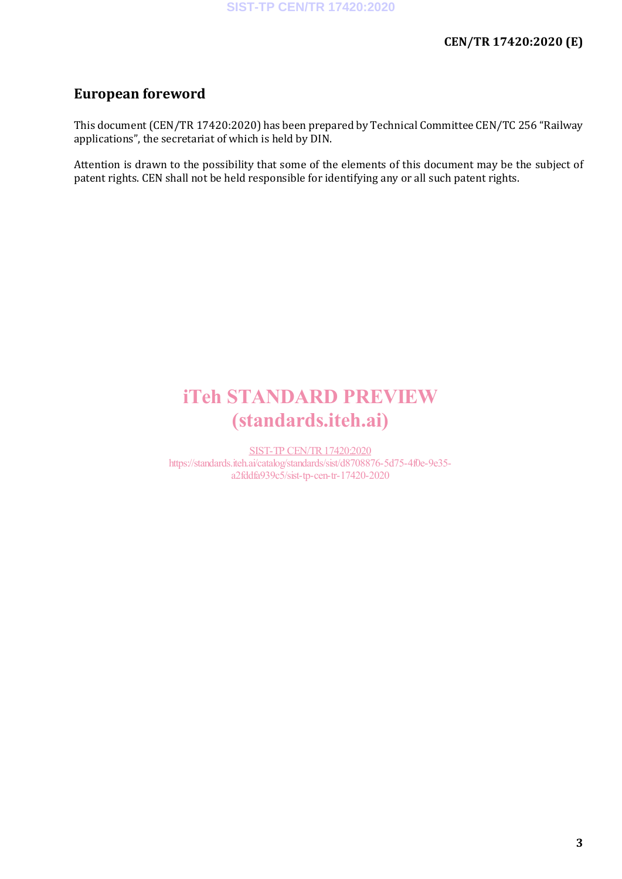### **European foreword**

This document (CEN/TR 17420:2020) has been prepared by Technical Committee CEN/TC 256 "Railway applications", the secretariat of which is held by DIN.

Attention is drawn to the possibility that some of the elements of this document may be the subject of patent rights. CEN shall not be held responsible for identifying any or all such patent rights.

## iTeh STANDARD PREVIEW (standards.iteh.ai)

SIST-TP CEN/TR17420:2020 https://standards.iteh.ai/catalog/standards/sist/d8708876-5d75-4f0e-9e35 a2fddfa939c5/sist-tp-cen-tr-17420-2020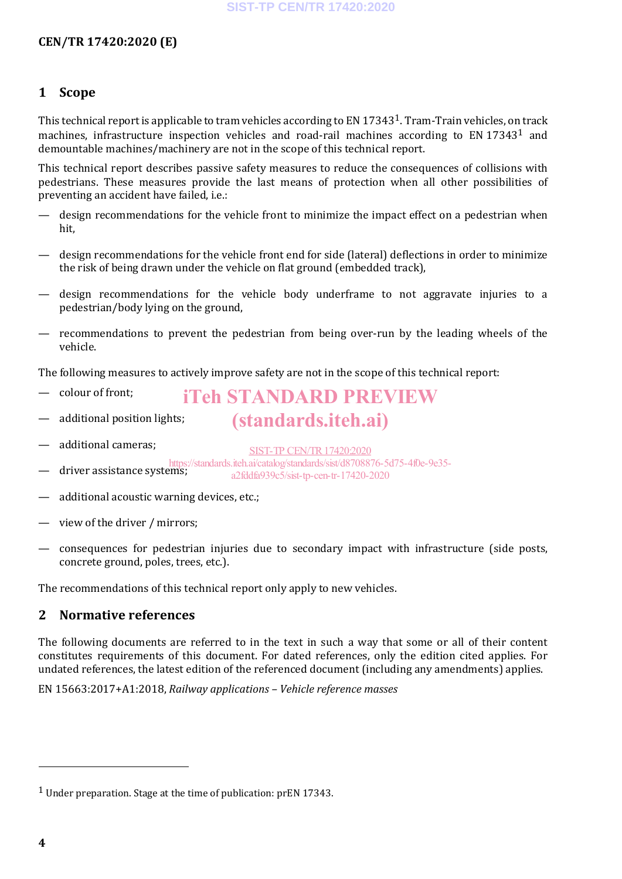#### **1 Scope**

This technical report is applicable to tram vehicles according to EN 173431. Tram-Train vehicles, on track machines, infrastructure inspection vehicles and road-rail machines according to EN 173431 and demountable machines/machinery are not in the scope of this technical report.

This technical report describes passive safety measures to reduce the consequences of collisions with pedestrians. These measures provide the last means of protection when all other possibilities of preventing an accident have failed, i.e.:

- design recommendations for the vehicle front to minimize the impact effect on a pedestrian when hit,
- design recommendations for the vehicle front end for side (lateral) deflections in order to minimize the risk of being drawn under the vehicle on flat ground (embedded track),
- design recommendations for the vehicle body underframe to not aggravate injuries to a pedestrian/body lying on the ground,
- recommendations to prevent the pedestrian from being over-run by the leading wheels of the vehicle.

The following measures to actively improve safety are not in the scope of this technical report:

- colour of front;
- iTeh STANDARD PREVIEW (standards.iteh.ai)
- additional position lights;
- additional cameras;

SIST-TP CEN/TR17420:2020

- driver assistance systems; https://standards.iteh.ai/catalog/standards/sist/d8708876-5d75-4f0e-9e35 a2fddfa939c5/sist-tp-cen-tr-17420-2020
- additional acoustic warning devices, etc.;
- view of the driver / mirrors;
- consequences for pedestrian injuries due to secondary impact with infrastructure (side posts, concrete ground, poles, trees, etc.).

The recommendations of this technical report only apply to new vehicles.

#### **2 Normative references**

The following documents are referred to in the text in such a way that some or all of their content constitutes requirements of this document. For dated references, only the edition cited applies. For undated references, the latest edition of the referenced document (including any amendments) applies.

EN 15663:2017+A1:2018, *Railway applications – Vehicle reference masses*

j

<sup>&</sup>lt;sup>1</sup> Under preparation. Stage at the time of publication: prEN 17343.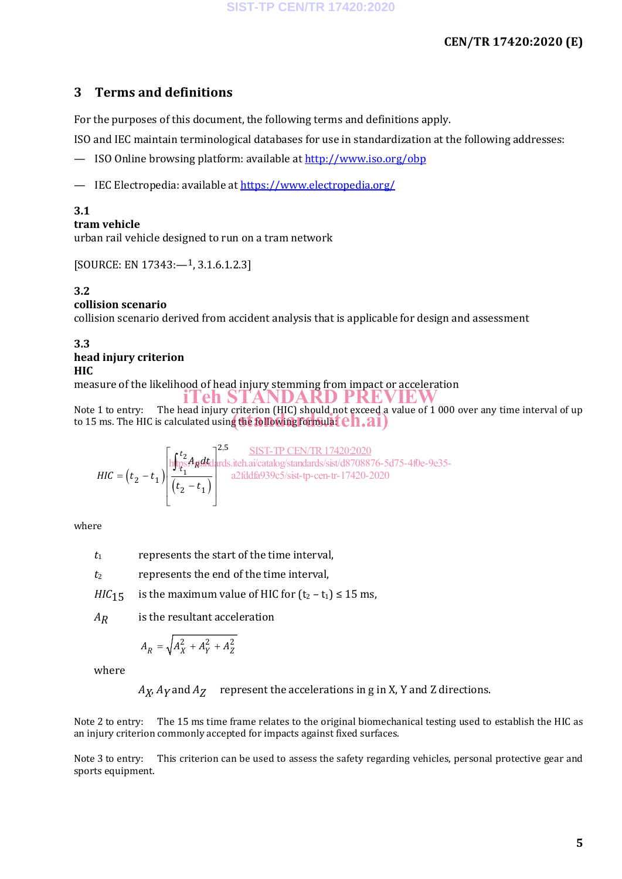#### **3 Terms and definitions**

For the purposes of this document, the following terms and definitions apply.

ISO and IEC maintain terminological databases for use in standardization at the following addresses:

- ISO Online browsing platform: available at http://www.iso.org/obp
- IEC Electropedia: available at https://www.electropedia.org/

#### **3.1**

#### **tram vehicle**

urban rail vehicle designed to run on a tram network

[SOURCE: EN 17343:—1, 3.1.6.1.2.3]

#### **3.2**

#### **collision scenario**

collision scenario derived from accident analysis that is applicable for design and assessment

#### **3.3 head injury criterion HIC**

measure of the likelihood of head injury stemming from impact or acceleration

Note 1 to entry: The head injury criterion (HIC) should not exceed a value of 1 000 over any time interval of up Note 1 to entry: The head mjury criterion (Hic) should not exceed a to 15 ms. The HIC is calculated using the following formulated  $\begin{pmatrix} 1 & 0 \\ 0 & 1 \end{pmatrix}$ iTeh STANDARD PREVIEW

$$
HIC = (t_2 - t_1) \left[ \frac{\int_{t_2}^{t_2} A_{\vec{n}} dt \, dt}{(t_2 - t_1)} \right]^{2,5} \frac{\text{SIST-TP CEN/TR 17420:2020}}{\text{a2fiddfa939c5/sist-tp-cen-tr-17420-2020}}
$$

where

 $t_1$  represents the start of the time interval,

*t*<sup>2</sup> represents the end of the time interval,

*HIC*<sub>15</sub> is the maximum value of HIC for  $(t_2 - t_1) \le 15$  ms,

*AR* is the resultant acceleration

$$
A_R = \sqrt{A_X^2 + A_Y^2 + A_Z^2}
$$

where

*AX*, *AY* and *AZ* represent the accelerations in g in X, Y and Z directions.

Note 2 to entry: The 15 ms time frame relates to the original biomechanical testing used to establish the HIC as an injury criterion commonly accepted for impacts against fixed surfaces.

Note 3 to entry: This criterion can be used to assess the safety regarding vehicles, personal protective gear and sports equipment.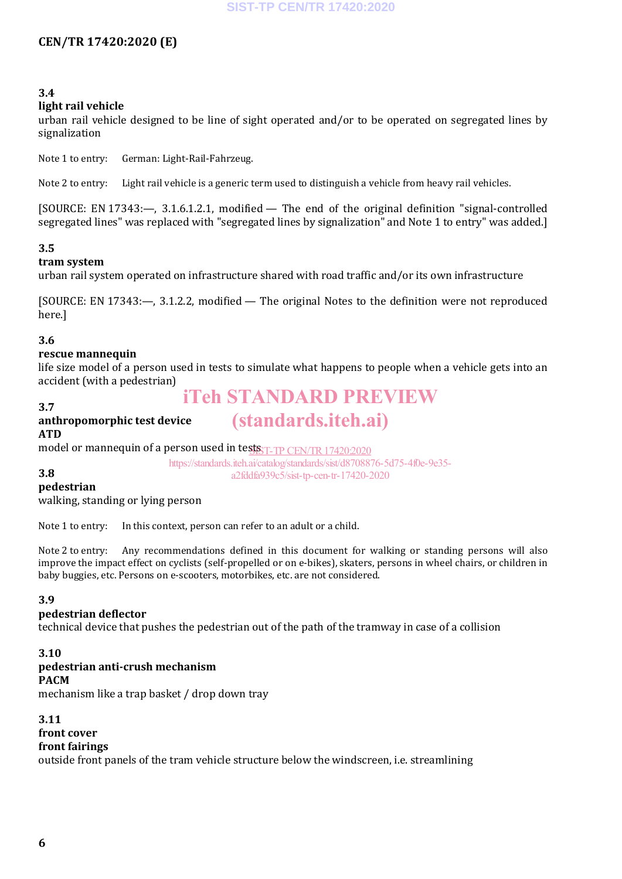#### **3.4**

#### **light rail vehicle**

urban rail vehicle designed to be line of sight operated and/or to be operated on segregated lines by signalization

Note 1 to entry: German: Light-Rail-Fahrzeug.

Note 2 to entry: Light rail vehicle is a generic term used to distinguish a vehicle from heavy rail vehicles.

[SOURCE: EN 17343:—, 3.1.6.1.2.1, modified — The end of the original definition "signal-controlled segregated lines" was replaced with "segregated lines by signalization" and Note 1 to entry" was added.]

#### **3.5**

#### **tram system**

urban rail system operated on infrastructure shared with road traffic and/or its own infrastructure

[SOURCE: EN 17343:—, 3.1.2.2, modified — The original Notes to the definition were not reproduced here.]

#### **3.6**

#### **rescue mannequin**

life size model of a person used in tests to simulate what happens to people when a vehicle gets into an accident (with a pedestrian)

### iTeh STANDARD PREVIEW

(standards.iteh.ai)

#### **3.7 anthropomorphic test device ATD**

model or mannequin of a person used in tests T-TP CEN/TR 17420:2020

https://standards.iteh.ai/catalog/standards/sist/d8708876-5d75-4f0e-9e35 a2fddfa939c5/sist-tp-cen-tr-17420-2020

### **3.8**

**pedestrian** walking, standing or lying person

Note 1 to entry: In this context, person can refer to an adult or a child.

Note 2 to entry: Any recommendations defined in this document for walking or standing persons will also improve the impact effect on cyclists (self-propelled or on e-bikes), skaters, persons in wheel chairs, or children in baby buggies, etc. Persons on e-scooters, motorbikes, etc. are not considered.

#### **3.9**

#### **pedestrian deflector**

technical device that pushes the pedestrian out of the path of the tramway in case of a collision

#### **3.10**

#### **pedestrian anti-crush mechanism**

#### **PACM**

mechanism like a trap basket / drop down tray

#### **3.11**

### **front cover**

#### **front fairings**

outside front panels of the tram vehicle structure below the windscreen, i.e. streamlining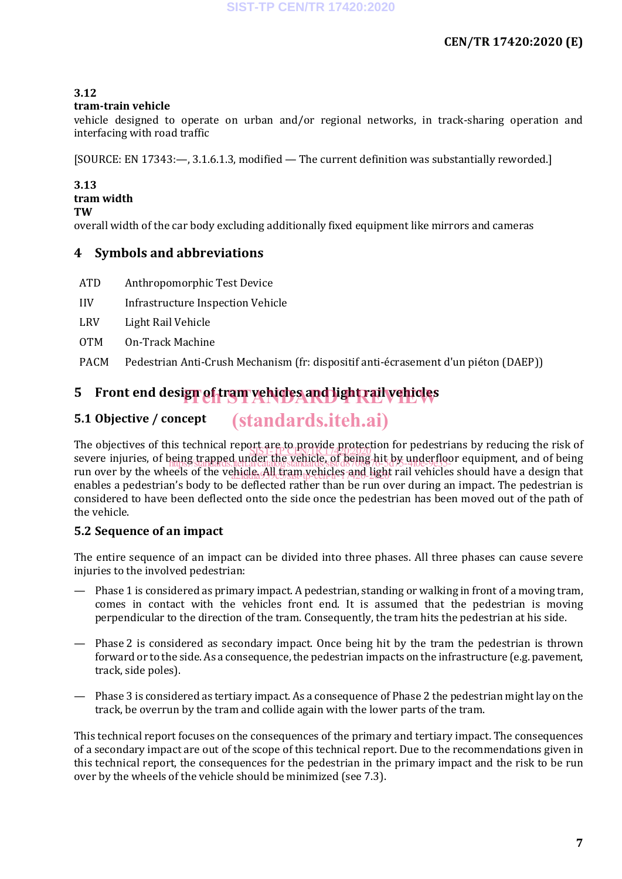#### **3.12**

#### **tram-train vehicle**

vehicle designed to operate on urban and/or regional networks, in track-sharing operation and interfacing with road traffic

[SOURCE: EN 17343:—, 3.1.6.1.3, modified — The current definition was substantially reworded.]

### **3.13**

### **tram width**

**TW**

overall width of the car body excluding additionally fixed equipment like mirrors and cameras

#### **4 Symbols and abbreviations**

- ATD Anthropomorphic Test Device
- IIV Infrastructure Inspection Vehicle
- LRV Light Rail Vehicle
- OTM On-Track Machine
- PACM Pedestrian Anti-Crush Mechanism (fr: dispositif anti-écrasement d'un piéton (DAEP))

## **5** Front end desi**gn of tram vehicles and light rail vehicles**

#### **5.1 Objective / concept** (standards.iteh.ai)

The objectives of this technical report are to provide protection for pedestrians by reducing the risk of severe injuries, of being trapped under the vehicle, of being hit by underfloor equipment, and of being run over by the wheels of the vehicle. All tram yehicles and light rail vehicles should have a design that rail enables a pedestrian's body to be deflected rather than be run over during an impact. The pedestrian is considered to have been deflected onto the side once the pedestrian has been moved out of the path of the vehicle. SIST-TP CEN/TR 17420.2020 https://standards.iteh.ai/catalog/standards/sist/d8708876-5d75-4f0e-9e35-

#### **5.2 Sequence of an impact**

The entire sequence of an impact can be divided into three phases. All three phases can cause severe injuries to the involved pedestrian:

- Phase 1 is considered as primary impact. A pedestrian, standing or walking in front of a moving tram, comes in contact with the vehicles front end. It is assumed that the pedestrian is moving perpendicular to the direction of the tram. Consequently, the tram hits the pedestrian at his side.
- Phase 2 is considered as secondary impact. Once being hit by the tram the pedestrian is thrown forward or to the side. As a consequence, the pedestrian impacts on the infrastructure (e.g. pavement, track, side poles).
- Phase 3 is considered as tertiary impact. As a consequence of Phase 2 the pedestrian might lay on the track, be overrun by the tram and collide again with the lower parts of the tram.

This technical report focuses on the consequences of the primary and tertiary impact. The consequences of a secondary impact are out of the scope of this technical report. Due to the recommendations given in this technical report, the consequences for the pedestrian in the primary impact and the risk to be run over by the wheels of the vehicle should be minimized (see 7.3).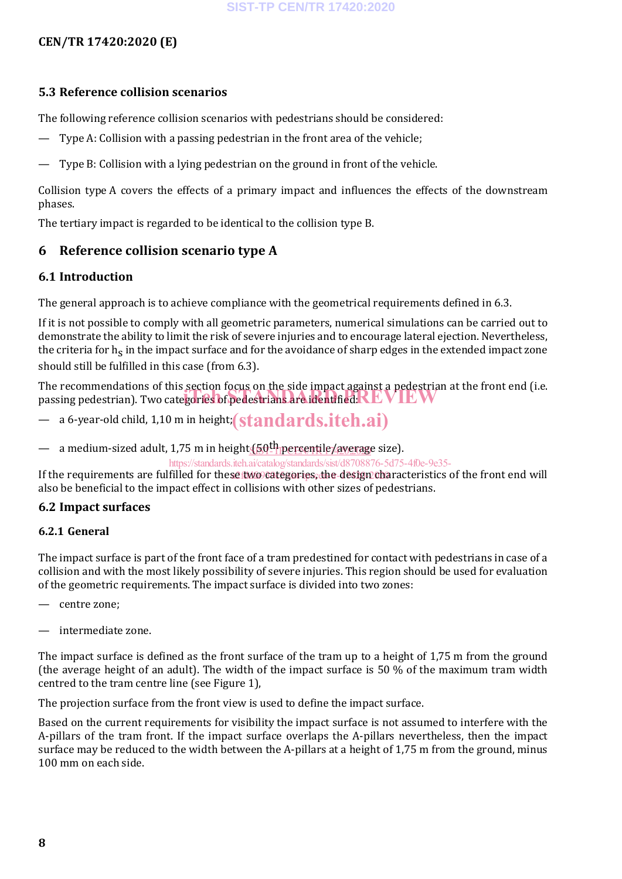#### **5.3 Reference collision scenarios**

The following reference collision scenarios with pedestrians should be considered:

- Type A: Collision with a passing pedestrian in the front area of the vehicle;
- Type B: Collision with a lying pedestrian on the ground in front of the vehicle.

Collision type A covers the effects of a primary impact and influences the effects of the downstream phases.

The tertiary impact is regarded to be identical to the collision type B.

#### **6 Reference collision scenario type A**

#### **6.1 Introduction**

The general approach is to achieve compliance with the geometrical requirements defined in 6.3.

If it is not possible to comply with all geometric parameters, numerical simulations can be carried out to demonstrate the ability to limit the risk of severe injuries and to encourage lateral ejection. Nevertheless, the criteria for  $h_s$  in the impact surface and for the avoidance of sharp edges in the extended impact zone should still be fulfilled in this case (from 6.3).

The recommendations of this section focus on the side impact against a pedestrian at the front end (i.e. The recommendations of this section focus on the side impact against a pedestrian<br>passing pedestrian). Two categories of pedestrians are identified: NEVIEW

 $-$  a 6-year-old child, 1,10 m in height; (standards.iteh.ai)

— a medium-sized adult, 1,75 m in height<u> (50<sup>th</sup> percentile/avera</u>ge size).

https://standards.iteh.ai/catalog/standards/sist/d8708876-5d75-4f0e-9e35-

If the requirements are fulfilled for thes<u>e two categories, the design ch</u>aracteristics of the front end will also be beneficial to the impact effect in collisions with other sizes of pedestrians.

#### **6.2 Impact surfaces**

#### **6.2.1 General**

The impact surface is part of the front face of a tram predestined for contact with pedestrians in case of a collision and with the most likely possibility of severe injuries. This region should be used for evaluation of the geometric requirements. The impact surface is divided into two zones:

- centre zone;
- intermediate zone.

The impact surface is defined as the front surface of the tram up to a height of 1,75 m from the ground (the average height of an adult). The width of the impact surface is 50 % of the maximum tram width centred to the tram centre line (see Figure 1),

The projection surface from the front view is used to define the impact surface.

Based on the current requirements for visibility the impact surface is not assumed to interfere with the A-pillars of the tram front. If the impact surface overlaps the A-pillars nevertheless, then the impact surface may be reduced to the width between the A-pillars at a height of 1,75 m from the ground, minus 100 mm on each side.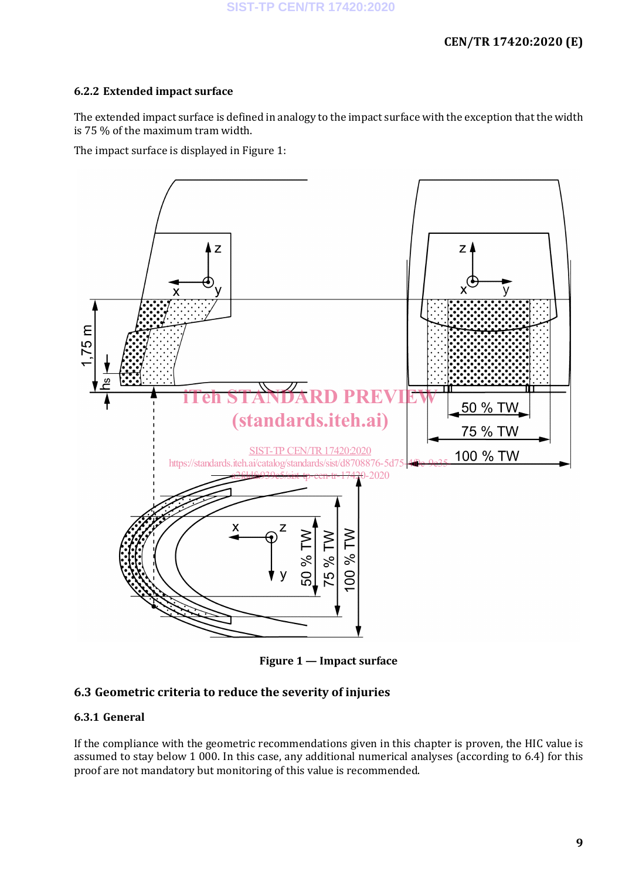#### **6.2.2 Extended impact surface**

The extended impact surface is defined in analogy to the impact surface with the exception that the width is 75 % of the maximum tram width.

The impact surface is displayed in Figure 1:



**Figure 1 — Impact surface**

#### **6.3 Geometric criteria to reduce the severity of injuries**

#### **6.3.1 General**

If the compliance with the geometric recommendations given in this chapter is proven, the HIC value is assumed to stay below 1 000. In this case, any additional numerical analyses (according to 6.4) for this proof are not mandatory but monitoring of this value is recommended.